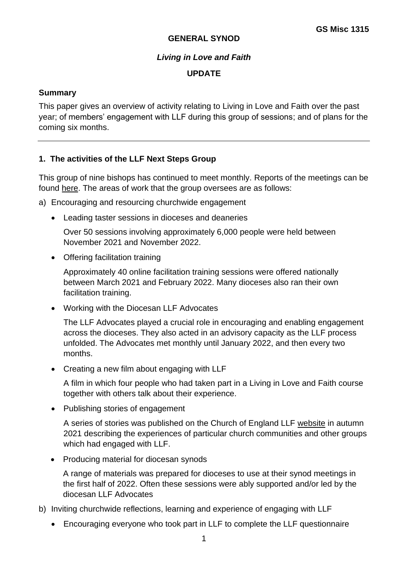#### **GENERAL SYNOD**

### *Living in Love and Faith*

### **UPDATE**

### **Summary**

This paper gives an overview of activity relating to Living in Love and Faith over the past year; of members' engagement with LLF during this group of sessions; and of plans for the coming six months.

### **1. The activities of the LLF Next Steps Group**

This group of nine bishops has continued to meet monthly. Reports of the meetings can be found [here.](https://www.churchofengland.org/resources/living-love-and-faith/living-love-and-faith-stories-and-news) The areas of work that the group oversees are as follows:

a) Encouraging and resourcing churchwide engagement

• Leading taster sessions in dioceses and deaneries

Over 50 sessions involving approximately 6,000 people were held between November 2021 and November 2022.

• Offering facilitation training

Approximately 40 online facilitation training sessions were offered nationally between March 2021 and February 2022. Many dioceses also ran their own facilitation training.

• Working with the Diocesan LLF Advocates

The LLF Advocates played a crucial role in encouraging and enabling engagement across the dioceses. They also acted in an advisory capacity as the LLF process unfolded. The Advocates met monthly until January 2022, and then every two months.

• Creating a new film about engaging with LLF

A film in which four people who had taken part in a Living in Love and Faith course together with others talk about their experience.

• Publishing stories of engagement

A series of stories was published on the Church of England LLF [website](https://www.churchofengland.org/resources/living-love-and-faith/living-love-and-faith-stories-and-news) in autumn 2021 describing the experiences of particular church communities and other groups which had engaged with LLF.

• Producing material for diocesan synods

A range of materials was prepared for dioceses to use at their synod meetings in the first half of 2022. Often these sessions were ably supported and/or led by the diocesan LLF Advocates

- b) Inviting churchwide reflections, learning and experience of engaging with LLF
	- Encouraging everyone who took part in LLF to complete the LLF questionnaire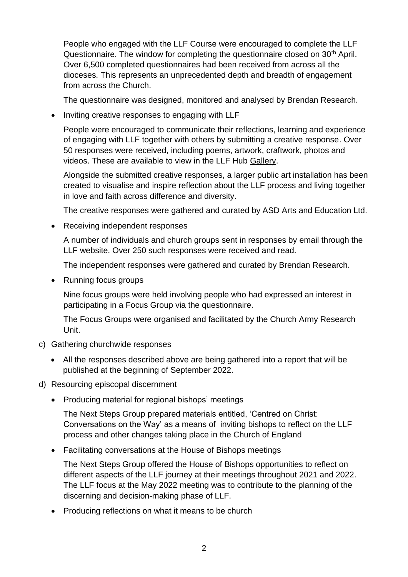People who engaged with the LLF Course were encouraged to complete the LLF Questionnaire. The window for completing the questionnaire closed on 30<sup>th</sup> April. Over 6,500 completed questionnaires had been received from across all the dioceses. This represents an unprecedented depth and breadth of engagement from across the Church.

The questionnaire was designed, monitored and analysed by Brendan Research.

• Inviting creative responses to engaging with LLF

People were encouraged to communicate their reflections, learning and experience of engaging with LLF together with others by submitting a creative response. Over 50 responses were received, including poems, artwork, craftwork, photos and videos. These are available to view in the LLF Hub [Gallery.](https://llf.churchofengland.org/mod/book/view.php?id=670)

Alongside the submitted creative responses, a larger public art installation has been created to visualise and inspire reflection about the LLF process and living together in love and faith across difference and diversity.

The creative responses were gathered and curated by ASD Arts and Education Ltd.

• Receiving independent responses

A number of individuals and church groups sent in responses by email through the LLF website. Over 250 such responses were received and read.

The independent responses were gathered and curated by Brendan Research.

• Running focus groups

Nine focus groups were held involving people who had expressed an interest in participating in a Focus Group via the questionnaire.

The Focus Groups were organised and facilitated by the Church Army Research Unit.

- c) Gathering churchwide responses
	- All the responses described above are being gathered into a report that will be published at the beginning of September 2022.
- d) Resourcing episcopal discernment
	- Producing material for regional bishops' meetings

The Next Steps Group prepared materials entitled, 'Centred on Christ: Conversations on the Way' as a means of inviting bishops to reflect on the LLF process and other changes taking place in the Church of England

• Facilitating conversations at the House of Bishops meetings

The Next Steps Group offered the House of Bishops opportunities to reflect on different aspects of the LLF journey at their meetings throughout 2021 and 2022. The LLF focus at the May 2022 meeting was to contribute to the planning of the discerning and decision-making phase of LLF.

• Producing reflections on what it means to be church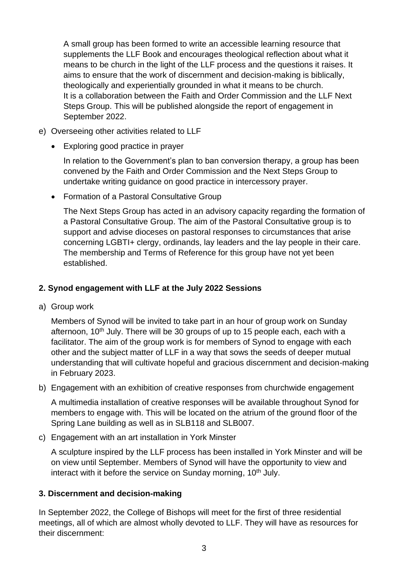A small group has been formed to write an accessible learning resource that supplements the LLF Book and encourages theological reflection about what it means to be church in the light of the LLF process and the questions it raises. It aims to ensure that the work of discernment and decision-making is biblically, theologically and experientially grounded in what it means to be church. It is a collaboration between the Faith and Order Commission and the LLF Next Steps Group. This will be published alongside the report of engagement in September 2022.

- e) Overseeing other activities related to LLF
	- Exploring good practice in prayer

In relation to the Government's plan to ban conversion therapy, a group has been convened by the Faith and Order Commission and the Next Steps Group to undertake writing guidance on good practice in intercessory prayer.

• Formation of a Pastoral Consultative Group

The Next Steps Group has acted in an advisory capacity regarding the formation of a Pastoral Consultative Group. The aim of the Pastoral Consultative group is to support and advise dioceses on pastoral responses to circumstances that arise concerning LGBTI+ clergy, ordinands, lay leaders and the lay people in their care. The membership and Terms of Reference for this group have not yet been established.

# **2. Synod engagement with LLF at the July 2022 Sessions**

a) Group work

Members of Synod will be invited to take part in an hour of group work on Sunday afternoon, 10<sup>th</sup> July. There will be 30 groups of up to 15 people each, each with a facilitator. The aim of the group work is for members of Synod to engage with each other and the subject matter of LLF in a way that sows the seeds of deeper mutual understanding that will cultivate hopeful and gracious discernment and decision-making in February 2023.

b) Engagement with an exhibition of creative responses from churchwide engagement

A multimedia installation of creative responses will be available throughout Synod for members to engage with. This will be located on the atrium of the ground floor of the Spring Lane building as well as in SLB118 and SLB007.

c) Engagement with an art installation in York Minster

A sculpture inspired by the LLF process has been installed in York Minster and will be on view until September. Members of Synod will have the opportunity to view and interact with it before the service on Sunday morning, 10<sup>th</sup> July.

### **3. Discernment and decision-making**

In September 2022, the College of Bishops will meet for the first of three residential meetings, all of which are almost wholly devoted to LLF. They will have as resources for their discernment: